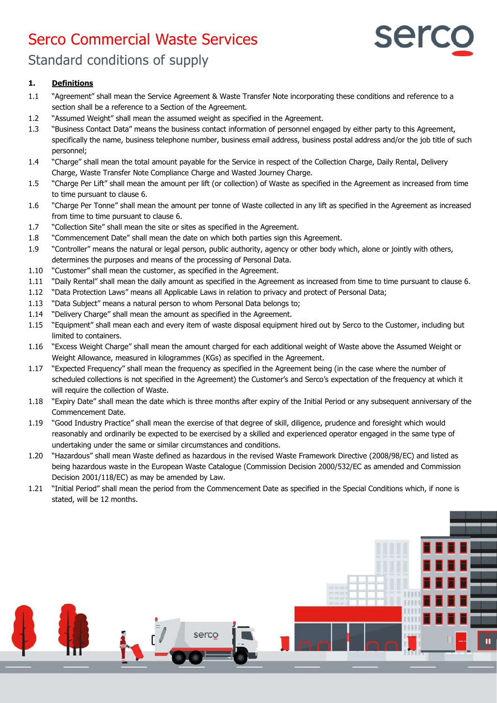# Serco Commercial Waste Services



Standard conditions of supply

# **1. Definitions**

- 1.1 "Agreement" shall mean the Service Agreement & Waste Transfer Note incorporating these conditions and reference to a section shall be a reference to a Section of the Agreement.
- 1.2 "Assumed Weight" shall mean the assumed weight as specified in the Agreement.
- 1.3 "Business Contact Data" means the business contact information of personnel engaged by either party to this Agreement, specifically the name, business telephone number, business email address, business postal address and/or the job title of such personnel;
- 1.4 "Charge" shall mean the total amount payable for the Service in respect of the Collection Charge, Daily Rental, Delivery Charge, Waste Transfer Note Compliance Charge and Wasted Journey Charge.
- 1.5 "Charge Per Lift" shall mean the amount per lift (or collection) of Waste as specified in the Agreement as increased from time to time pursuant to clause 6.
- 1.6 "Charge Per Tonne" shall mean the amount per tonne of Waste collected in any lift as specified in the Agreement as increased from time to time pursuant to clause 6.
- 1.7 "Collection Site" shall mean the site or sites as specified in the Agreement.
- 1.8 "Commencement Date" shall mean the date on which both parties sign this Agreement.
- 1.9 "Controller" means the natural or legal person, public authority, agency or other body which, alone or jointly with others, determines the purposes and means of the processing of Personal Data.
- 1.10 "Customer" shall mean the customer, as specified in the Agreement.
- 1.11 "Daily Rental" shall mean the daily amount as specified in the Agreement as increased from time to time pursuant to clause 6.
- 1.12 "Data Protection Laws" means all Applicable Laws in relation to privacy and protect of Personal Data;
- 1.13 "Data Subject" means a natural person to whom Personal Data belongs to;
- 1.14 "Delivery Charge" shall mean the amount as specified in the Agreement.
- 1.15 "Equipment" shall mean each and every item of waste disposal equipment hired out by Serco to the Customer, including but limited to containers.
- 1.16 "Excess Weight Charge" shall mean the amount charged for each additional weight of Waste above the Assumed Weight or Weight Allowance, measured in kilogrammes (KGs) as specified in the Agreement.
- 1.17 "Expected Frequency" shall mean the frequency as specified in the Agreement being (in the case where the number of scheduled collections is not specified in the Agreement) the Customer's and Serco's expectation of the frequency at which it will require the collection of Waste.
- 1.18 "Expiry Date" shall mean the date which is three months after expiry of the Initial Period or any subsequent anniversary of the Commencement Date.
- 1.19 "Good Industry Practice" shall mean the exercise of that degree of skill, diligence, prudence and foresight which would reasonably and ordinarily be expected to be exercised by a skilled and experienced operator engaged in the same type of undertaking under the same or similar circumstances and conditions.
- 1.20 "Hazardous" shall mean Waste defined as hazardous in the revised Waste Framework Directive (2008/98/EC) and listed as being hazardous waste in the European Waste Catalogue (Commission Decision 2000/532/EC as amended and Commission Decision 2001/118/EC) as may be amended by Law.
- 1.21 "Initial Period" shall mean the period from the Commencement Date as specified in the Special Conditions which, if none is stated, will be 12 months.

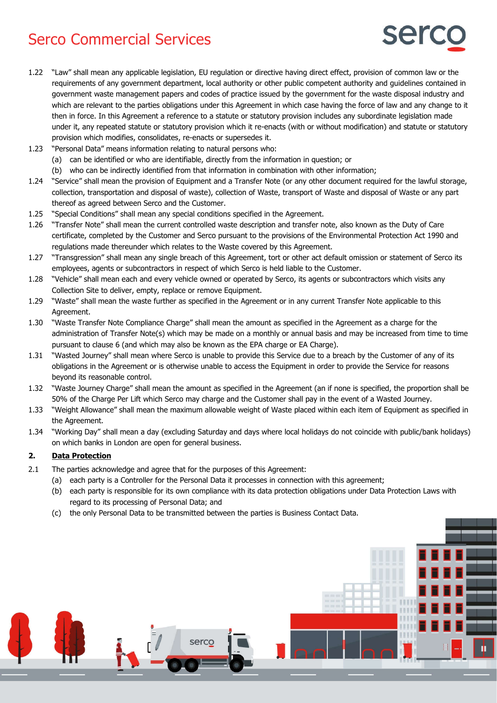

- 1.22 "Law" shall mean any applicable legislation, EU regulation or directive having direct effect, provision of common law or the requirements of any government department, local authority or other public competent authority and guidelines contained in government waste management papers and codes of practice issued by the government for the waste disposal industry and which are relevant to the parties obligations under this Agreement in which case having the force of law and any change to it then in force. In this Agreement a reference to a statute or statutory provision includes any subordinate legislation made under it, any repeated statute or statutory provision which it re-enacts (with or without modification) and statute or statutory provision which modifies, consolidates, re-enacts or supersedes it.
- 1.23 "Personal Data" means information relating to natural persons who:
	- (a) can be identified or who are identifiable, directly from the information in question; or
	- (b) who can be indirectly identified from that information in combination with other information;
- 1.24 "Service" shall mean the provision of Equipment and a Transfer Note (or any other document required for the lawful storage, collection, transportation and disposal of waste), collection of Waste, transport of Waste and disposal of Waste or any part thereof as agreed between Serco and the Customer.
- 1.25 "Special Conditions" shall mean any special conditions specified in the Agreement.
- 1.26 "Transfer Note" shall mean the current controlled waste description and transfer note, also known as the Duty of Care certificate, completed by the Customer and Serco pursuant to the provisions of the Environmental Protection Act 1990 and regulations made thereunder which relates to the Waste covered by this Agreement.
- 1.27 "Transgression" shall mean any single breach of this Agreement, tort or other act default omission or statement of Serco its employees, agents or subcontractors in respect of which Serco is held liable to the Customer.
- 1.28 "Vehicle" shall mean each and every vehicle owned or operated by Serco, its agents or subcontractors which visits any Collection Site to deliver, empty, replace or remove Equipment.
- 1.29 "Waste" shall mean the waste further as specified in the Agreement or in any current Transfer Note applicable to this Agreement.
- 1.30 "Waste Transfer Note Compliance Charge" shall mean the amount as specified in the Agreement as a charge for the administration of Transfer Note(s) which may be made on a monthly or annual basis and may be increased from time to time pursuant to clause 6 (and which may also be known as the EPA charge or EA Charge).
- 1.31 "Wasted Journey" shall mean where Serco is unable to provide this Service due to a breach by the Customer of any of its obligations in the Agreement or is otherwise unable to access the Equipment in order to provide the Service for reasons beyond its reasonable control.
- 1.32 "Waste Journey Charge" shall mean the amount as specified in the Agreement (an if none is specified, the proportion shall be 50% of the Charge Per Lift which Serco may charge and the Customer shall pay in the event of a Wasted Journey.
- 1.33 "Weight Allowance" shall mean the maximum allowable weight of Waste placed within each item of Equipment as specified in the Agreement.
- 1.34 "Working Day" shall mean a day (excluding Saturday and days where local holidays do not coincide with public/bank holidays) on which banks in London are open for general business.

### **2. Data Protection**

- 2.1 The parties acknowledge and agree that for the purposes of this Agreement:
	- (a) each party is a Controller for the Personal Data it processes in connection with this agreement;
	- (b) each party is responsible for its own compliance with its data protection obligations under Data Protection Laws with regard to its processing of Personal Data; and
	- (c) the only Personal Data to be transmitted between the parties is Business Contact Data.

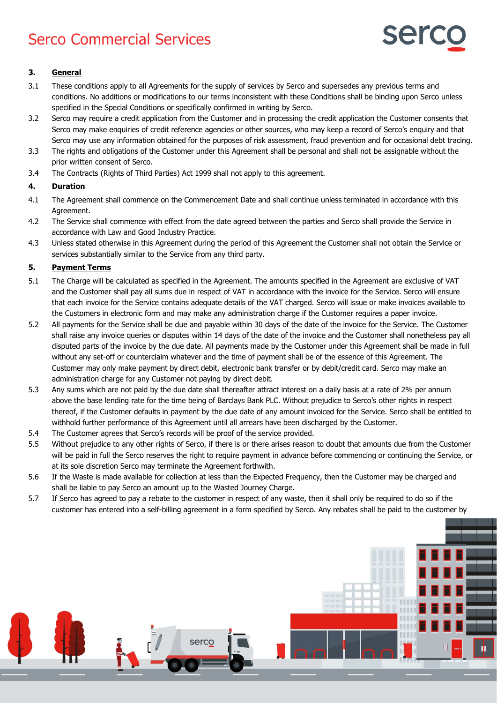

## **3. General**

- 3.1 These conditions apply to all Agreements for the supply of services by Serco and supersedes any previous terms and conditions. No additions or modifications to our terms inconsistent with these Conditions shall be binding upon Serco unless specified in the Special Conditions or specifically confirmed in writing by Serco.
- 3.2 Serco may require a credit application from the Customer and in processing the credit application the Customer consents that Serco may make enquiries of credit reference agencies or other sources, who may keep a record of Serco's enquiry and that Serco may use any information obtained for the purposes of risk assessment, fraud prevention and for occasional debt tracing.
- 3.3 The rights and obligations of the Customer under this Agreement shall be personal and shall not be assignable without the prior written consent of Serco.
- 3.4 The Contracts (Rights of Third Parties) Act 1999 shall not apply to this agreement.

### **4. Duration**

- 4.1 The Agreement shall commence on the Commencement Date and shall continue unless terminated in accordance with this Agreement.
- 4.2 The Service shall commence with effect from the date agreed between the parties and Serco shall provide the Service in accordance with Law and Good Industry Practice.
- 4.3 Unless stated otherwise in this Agreement during the period of this Agreement the Customer shall not obtain the Service or services substantially similar to the Service from any third party.

#### **5. Payment Terms**

- 5.1 The Charge will be calculated as specified in the Agreement. The amounts specified in the Agreement are exclusive of VAT and the Customer shall pay all sums due in respect of VAT in accordance with the invoice for the Service. Serco will ensure that each invoice for the Service contains adequate details of the VAT charged. Serco will issue or make invoices available to the Customers in electronic form and may make any administration charge if the Customer requires a paper invoice.
- 5.2 All payments for the Service shall be due and payable within 30 days of the date of the invoice for the Service. The Customer shall raise any invoice queries or disputes within 14 days of the date of the invoice and the Customer shall nonetheless pay all disputed parts of the invoice by the due date. All payments made by the Customer under this Agreement shall be made in full without any set-off or counterclaim whatever and the time of payment shall be of the essence of this Agreement. The Customer may only make payment by direct debit, electronic bank transfer or by debit/credit card. Serco may make an administration charge for any Customer not paying by direct debit.
- 5.3 Any sums which are not paid by the due date shall thereafter attract interest on a daily basis at a rate of 2% per annum above the base lending rate for the time being of Barclays Bank PLC. Without prejudice to Serco's other rights in respect thereof, if the Customer defaults in payment by the due date of any amount invoiced for the Service. Serco shall be entitled to withhold further performance of this Agreement until all arrears have been discharged by the Customer.
- 5.4 The Customer agrees that Serco's records will be proof of the service provided.
- 5.5 Without prejudice to any other rights of Serco, if there is or there arises reason to doubt that amounts due from the Customer will be paid in full the Serco reserves the right to require payment in advance before commencing or continuing the Service, or at its sole discretion Serco may terminate the Agreement forthwith.
- 5.6 If the Waste is made available for collection at less than the Expected Frequency, then the Customer may be charged and shall be liable to pay Serco an amount up to the Wasted Journey Charge.
- 5.7 If Serco has agreed to pay a rebate to the customer in respect of any waste, then it shall only be required to do so if the customer has entered into a self-billing agreement in a form specified by Serco. Any rebates shall be paid to the customer by

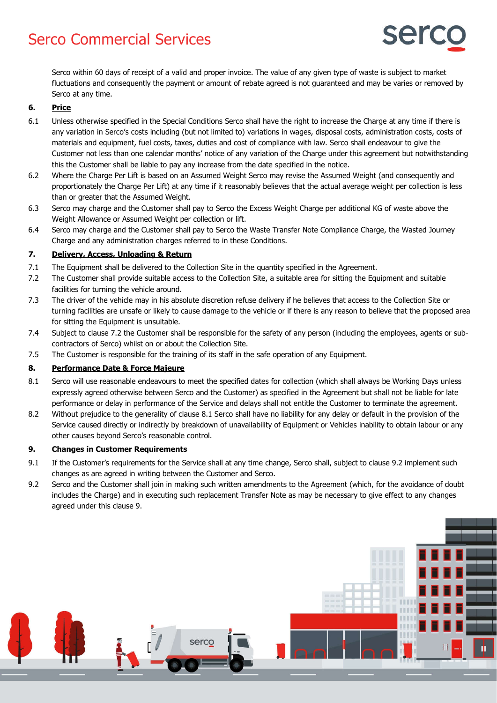

Serco within 60 days of receipt of a valid and proper invoice. The value of any given type of waste is subject to market fluctuations and consequently the payment or amount of rebate agreed is not guaranteed and may be varies or removed by Serco at any time.

### **6. Price**

- 6.1 Unless otherwise specified in the Special Conditions Serco shall have the right to increase the Charge at any time if there is any variation in Serco's costs including (but not limited to) variations in wages, disposal costs, administration costs, costs of materials and equipment, fuel costs, taxes, duties and cost of compliance with law. Serco shall endeavour to give the Customer not less than one calendar months' notice of any variation of the Charge under this agreement but notwithstanding this the Customer shall be liable to pay any increase from the date specified in the notice.
- 6.2 Where the Charge Per Lift is based on an Assumed Weight Serco may revise the Assumed Weight (and consequently and proportionately the Charge Per Lift) at any time if it reasonably believes that the actual average weight per collection is less than or greater that the Assumed Weight.
- 6.3 Serco may charge and the Customer shall pay to Serco the Excess Weight Charge per additional KG of waste above the Weight Allowance or Assumed Weight per collection or lift.
- 6.4 Serco may charge and the Customer shall pay to Serco the Waste Transfer Note Compliance Charge, the Wasted Journey Charge and any administration charges referred to in these Conditions.

#### **7. Delivery, Access, Unloading & Return**

- 7.1 The Equipment shall be delivered to the Collection Site in the quantity specified in the Agreement.
- 7.2 The Customer shall provide suitable access to the Collection Site, a suitable area for sitting the Equipment and suitable facilities for turning the vehicle around.
- 7.3 The driver of the vehicle may in his absolute discretion refuse delivery if he believes that access to the Collection Site or turning facilities are unsafe or likely to cause damage to the vehicle or if there is any reason to believe that the proposed area for sitting the Equipment is unsuitable.
- 7.4 Subject to clause 7.2 the Customer shall be responsible for the safety of any person (including the employees, agents or subcontractors of Serco) whilst on or about the Collection Site.
- 7.5 The Customer is responsible for the training of its staff in the safe operation of any Equipment.

### **8. Performance Date & Force Majeure**

- 8.1 Serco will use reasonable endeavours to meet the specified dates for collection (which shall always be Working Days unless expressly agreed otherwise between Serco and the Customer) as specified in the Agreement but shall not be liable for late performance or delay in performance of the Service and delays shall not entitle the Customer to terminate the agreement.
- 8.2 Without prejudice to the generality of clause 8.1 Serco shall have no liability for any delay or default in the provision of the Service caused directly or indirectly by breakdown of unavailability of Equipment or Vehicles inability to obtain labour or any other causes beyond Serco's reasonable control.

#### **9. Changes in Customer Requirements**

- 9.1 If the Customer's requirements for the Service shall at any time change, Serco shall, subject to clause 9.2 implement such changes as are agreed in writing between the Customer and Serco.
- 9.2 Serco and the Customer shall join in making such written amendments to the Agreement (which, for the avoidance of doubt includes the Charge) and in executing such replacement Transfer Note as may be necessary to give effect to any changes agreed under this clause 9.

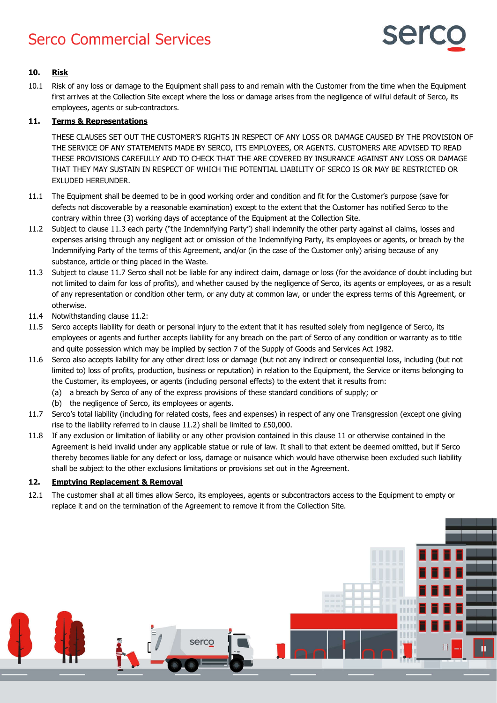

## **10. Risk**

10.1 Risk of any loss or damage to the Equipment shall pass to and remain with the Customer from the time when the Equipment first arrives at the Collection Site except where the loss or damage arises from the negligence of wilful default of Serco, its employees, agents or sub-contractors.

## **11. Terms & Representations**

THESE CLAUSES SET OUT THE CUSTOMER'S RIGHTS IN RESPECT OF ANY LOSS OR DAMAGE CAUSED BY THE PROVISION OF THE SERVICE OF ANY STATEMENTS MADE BY SERCO, ITS EMPLOYEES, OR AGENTS. CUSTOMERS ARE ADVISED TO READ THESE PROVISIONS CAREFULLY AND TO CHECK THAT THE ARE COVERED BY INSURANCE AGAINST ANY LOSS OR DAMAGE THAT THEY MAY SUSTAIN IN RESPECT OF WHICH THE POTENTIAL LIABILITY OF SERCO IS OR MAY BE RESTRICTED OR EXLUDED HEREUNDER.

- 11.1 The Equipment shall be deemed to be in good working order and condition and fit for the Customer's purpose (save for defects not discoverable by a reasonable examination) except to the extent that the Customer has notified Serco to the contrary within three (3) working days of acceptance of the Equipment at the Collection Site.
- 11.2 Subject to clause 11.3 each party ("the Indemnifying Party") shall indemnify the other party against all claims, losses and expenses arising through any negligent act or omission of the Indemnifying Party, its employees or agents, or breach by the Indemnifying Party of the terms of this Agreement, and/or (in the case of the Customer only) arising because of any substance, article or thing placed in the Waste.
- 11.3 Subject to clause 11.7 Serco shall not be liable for any indirect claim, damage or loss (for the avoidance of doubt including but not limited to claim for loss of profits), and whether caused by the negligence of Serco, its agents or employees, or as a result of any representation or condition other term, or any duty at common law, or under the express terms of this Agreement, or otherwise.
- 11.4 Notwithstanding clause 11.2:
- 11.5 Serco accepts liability for death or personal injury to the extent that it has resulted solely from negligence of Serco, its employees or agents and further accepts liability for any breach on the part of Serco of any condition or warranty as to title and quite possession which may be implied by section 7 of the Supply of Goods and Services Act 1982.
- 11.6 Serco also accepts liability for any other direct loss or damage (but not any indirect or consequential loss, including (but not limited to) loss of profits, production, business or reputation) in relation to the Equipment, the Service or items belonging to the Customer, its employees, or agents (including personal effects) to the extent that it results from:
	- (a) a breach by Serco of any of the express provisions of these standard conditions of supply; or
	- (b) the negligence of Serco, its employees or agents.
- 11.7 Serco's total liability (including for related costs, fees and expenses) in respect of any one Transgression (except one giving rise to the liability referred to in clause 11.2) shall be limited to £50,000.
- 11.8 If any exclusion or limitation of liability or any other provision contained in this clause 11 or otherwise contained in the Agreement is held invalid under any applicable statue or rule of law. It shall to that extent be deemed omitted, but if Serco thereby becomes liable for any defect or loss, damage or nuisance which would have otherwise been excluded such liability shall be subject to the other exclusions limitations or provisions set out in the Agreement.

### **12. Emptying Replacement & Removal**

12.1 The customer shall at all times allow Serco, its employees, agents or subcontractors access to the Equipment to empty or replace it and on the termination of the Agreement to remove it from the Collection Site.

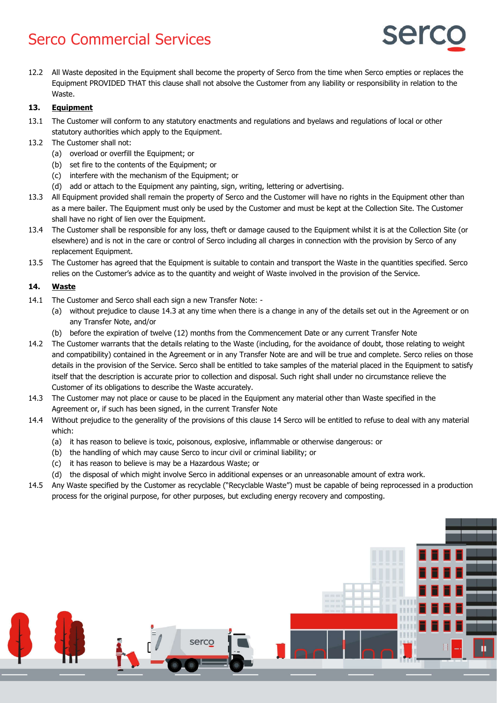

12.2 All Waste deposited in the Equipment shall become the property of Serco from the time when Serco empties or replaces the Equipment PROVIDED THAT this clause shall not absolve the Customer from any liability or responsibility in relation to the Waste.

## **13. Equipment**

- 13.1 The Customer will conform to any statutory enactments and regulations and byelaws and regulations of local or other statutory authorities which apply to the Equipment.
- 13.2 The Customer shall not:
	- (a) overload or overfill the Equipment; or
	- (b) set fire to the contents of the Equipment; or
	- (c) interfere with the mechanism of the Equipment; or
	- (d) add or attach to the Equipment any painting, sign, writing, lettering or advertising.
- 13.3 All Equipment provided shall remain the property of Serco and the Customer will have no rights in the Equipment other than as a mere bailer. The Equipment must only be used by the Customer and must be kept at the Collection Site. The Customer shall have no right of lien over the Equipment.
- 13.4 The Customer shall be responsible for any loss, theft or damage caused to the Equipment whilst it is at the Collection Site (or elsewhere) and is not in the care or control of Serco including all charges in connection with the provision by Serco of any replacement Equipment.
- 13.5 The Customer has agreed that the Equipment is suitable to contain and transport the Waste in the quantities specified. Serco relies on the Customer's advice as to the quantity and weight of Waste involved in the provision of the Service.

## **14. Waste**

- 14.1 The Customer and Serco shall each sign a new Transfer Note:
	- (a) without prejudice to clause 14.3 at any time when there is a change in any of the details set out in the Agreement or on any Transfer Note, and/or
	- (b) before the expiration of twelve (12) months from the Commencement Date or any current Transfer Note
- 14.2 The Customer warrants that the details relating to the Waste (including, for the avoidance of doubt, those relating to weight and compatibility) contained in the Agreement or in any Transfer Note are and will be true and complete. Serco relies on those details in the provision of the Service. Serco shall be entitled to take samples of the material placed in the Equipment to satisfy itself that the description is accurate prior to collection and disposal. Such right shall under no circumstance relieve the Customer of its obligations to describe the Waste accurately.
- 14.3 The Customer may not place or cause to be placed in the Equipment any material other than Waste specified in the Agreement or, if such has been signed, in the current Transfer Note
- 14.4 Without prejudice to the generality of the provisions of this clause 14 Serco will be entitled to refuse to deal with any material which:
	- (a) it has reason to believe is toxic, poisonous, explosive, inflammable or otherwise dangerous: or
	- (b) the handling of which may cause Serco to incur civil or criminal liability; or
	- (c) it has reason to believe is may be a Hazardous Waste; or
	- (d) the disposal of which might involve Serco in additional expenses or an unreasonable amount of extra work.
- 14.5 Any Waste specified by the Customer as recyclable ("Recyclable Waste") must be capable of being reprocessed in a production process for the original purpose, for other purposes, but excluding energy recovery and composting.

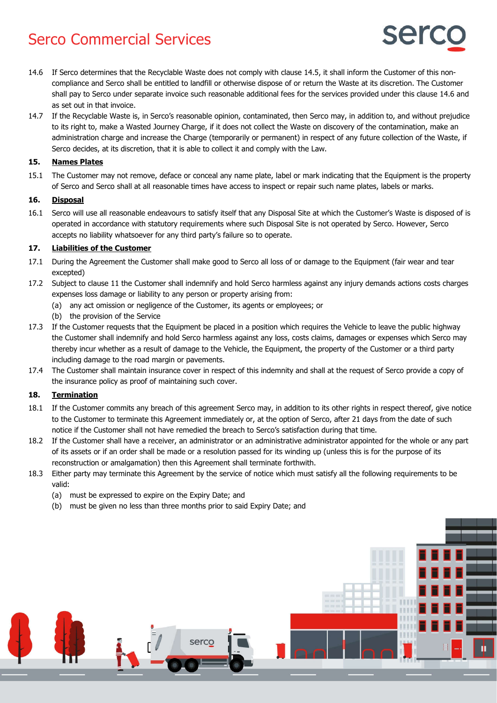- ser
- 14.6 If Serco determines that the Recyclable Waste does not comply with clause 14.5, it shall inform the Customer of this noncompliance and Serco shall be entitled to landfill or otherwise dispose of or return the Waste at its discretion. The Customer shall pay to Serco under separate invoice such reasonable additional fees for the services provided under this clause 14.6 and as set out in that invoice.
- 14.7 If the Recyclable Waste is, in Serco's reasonable opinion, contaminated, then Serco may, in addition to, and without prejudice to its right to, make a Wasted Journey Charge, if it does not collect the Waste on discovery of the contamination, make an administration charge and increase the Charge (temporarily or permanent) in respect of any future collection of the Waste, if Serco decides, at its discretion, that it is able to collect it and comply with the Law.

## **15. Names Plates**

15.1 The Customer may not remove, deface or conceal any name plate, label or mark indicating that the Equipment is the property of Serco and Serco shall at all reasonable times have access to inspect or repair such name plates, labels or marks.

## **16. Disposal**

16.1 Serco will use all reasonable endeavours to satisfy itself that any Disposal Site at which the Customer's Waste is disposed of is operated in accordance with statutory requirements where such Disposal Site is not operated by Serco. However, Serco accepts no liability whatsoever for any third party's failure so to operate.

## **17. Liabilities of the Customer**

- 17.1 During the Agreement the Customer shall make good to Serco all loss of or damage to the Equipment (fair wear and tear excepted)
- 17.2 Subject to clause 11 the Customer shall indemnify and hold Serco harmless against any injury demands actions costs charges expenses loss damage or liability to any person or property arising from:
	- (a) any act omission or negligence of the Customer, its agents or employees; or
	- (b) the provision of the Service
- 17.3 If the Customer requests that the Equipment be placed in a position which requires the Vehicle to leave the public highway the Customer shall indemnify and hold Serco harmless against any loss, costs claims, damages or expenses which Serco may thereby incur whether as a result of damage to the Vehicle, the Equipment, the property of the Customer or a third party including damage to the road margin or pavements.
- 17.4 The Customer shall maintain insurance cover in respect of this indemnity and shall at the request of Serco provide a copy of the insurance policy as proof of maintaining such cover.

### **18. Termination**

- 18.1 If the Customer commits any breach of this agreement Serco may, in addition to its other rights in respect thereof, give notice to the Customer to terminate this Agreement immediately or, at the option of Serco, after 21 days from the date of such notice if the Customer shall not have remedied the breach to Serco's satisfaction during that time.
- 18.2 If the Customer shall have a receiver, an administrator or an administrative administrator appointed for the whole or any part of its assets or if an order shall be made or a resolution passed for its winding up (unless this is for the purpose of its reconstruction or amalgamation) then this Agreement shall terminate forthwith.
- 18.3 Either party may terminate this Agreement by the service of notice which must satisfy all the following requirements to be valid:
	- (a) must be expressed to expire on the Expiry Date; and
	- (b) must be given no less than three months prior to said Expiry Date; and

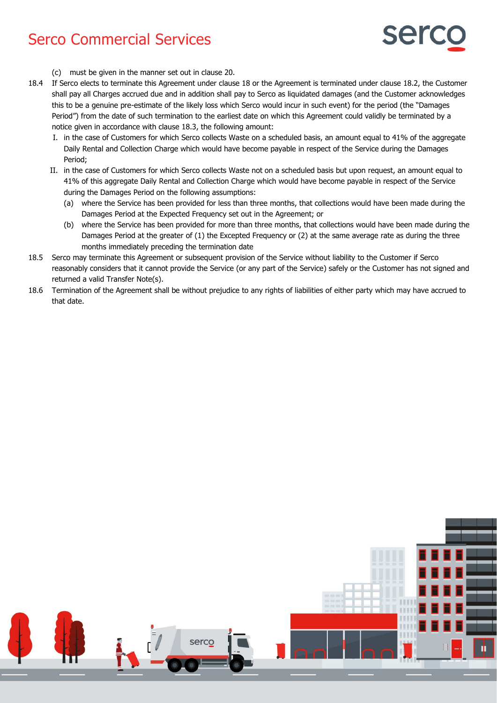

- (c) must be given in the manner set out in clause 20.
- 18.4 If Serco elects to terminate this Agreement under clause 18 or the Agreement is terminated under clause 18.2, the Customer shall pay all Charges accrued due and in addition shall pay to Serco as liquidated damages (and the Customer acknowledges this to be a genuine pre-estimate of the likely loss which Serco would incur in such event) for the period (the "Damages Period") from the date of such termination to the earliest date on which this Agreement could validly be terminated by a notice given in accordance with clause 18.3, the following amount:
	- I. in the case of Customers for which Serco collects Waste on a scheduled basis, an amount equal to 41% of the aggregate Daily Rental and Collection Charge which would have become payable in respect of the Service during the Damages Period;
	- II. in the case of Customers for which Serco collects Waste not on a scheduled basis but upon request, an amount equal to 41% of this aggregate Daily Rental and Collection Charge which would have become payable in respect of the Service during the Damages Period on the following assumptions:
		- (a) where the Service has been provided for less than three months, that collections would have been made during the Damages Period at the Expected Frequency set out in the Agreement; or
		- (b) where the Service has been provided for more than three months, that collections would have been made during the Damages Period at the greater of (1) the Excepted Frequency or (2) at the same average rate as during the three months immediately preceding the termination date
- 18.5 Serco may terminate this Agreement or subsequent provision of the Service without liability to the Customer if Serco reasonably considers that it cannot provide the Service (or any part of the Service) safely or the Customer has not signed and returned a valid Transfer Note(s).
- 18.6 Termination of the Agreement shall be without prejudice to any rights of liabilities of either party which may have accrued to that date.